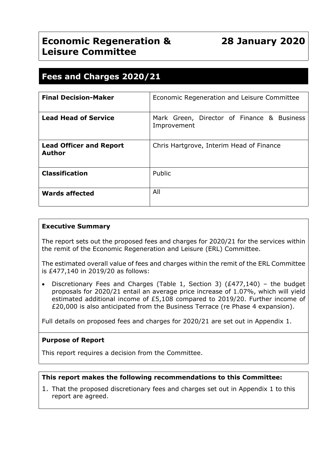## **Economic Regeneration & Leisure Committee**

## **28 January 2020**

### **Fees and Charges 2020/21**

| <b>Final Decision-Maker</b>                     | Economic Regeneration and Leisure Committee               |  |  |  |  |
|-------------------------------------------------|-----------------------------------------------------------|--|--|--|--|
| <b>Lead Head of Service</b>                     | Mark Green, Director of Finance & Business<br>Improvement |  |  |  |  |
| <b>Lead Officer and Report</b><br><b>Author</b> | Chris Hartgrove, Interim Head of Finance                  |  |  |  |  |
| <b>Classification</b>                           | Public                                                    |  |  |  |  |
| <b>Wards affected</b>                           | All                                                       |  |  |  |  |

#### **Executive Summary**

The report sets out the proposed fees and charges for 2020/21 for the services within the remit of the Economic Regeneration and Leisure (ERL) Committee.

The estimated overall value of fees and charges within the remit of the ERL Committee is £477,140 in 2019/20 as follows:

 Discretionary Fees and Charges (Table 1, Section 3) (£477,140) – the budget proposals for 2020/21 entail an average price increase of 1.07%, which will yield estimated additional income of £5,108 compared to 2019/20. Further income of £20,000 is also anticipated from the Business Terrace (re Phase 4 expansion).

Full details on proposed fees and charges for 2020/21 are set out in Appendix 1.

#### **Purpose of Report**

This report requires a decision from the Committee.

#### **This report makes the following recommendations to this Committee:**

1. That the proposed discretionary fees and charges set out in Appendix 1 to this report are agreed.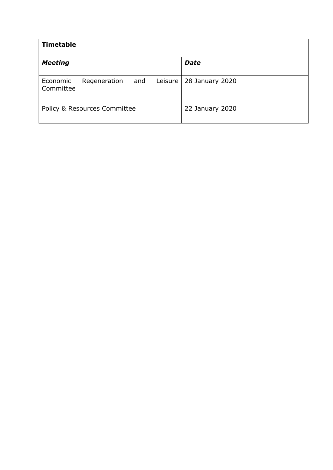| <b>Timetable</b>      |                                         |         |                 |
|-----------------------|-----------------------------------------|---------|-----------------|
| <b>Meeting</b>        |                                         |         | <b>Date</b>     |
| Economic<br>Committee | Regeneration and                        | Leisure | 28 January 2020 |
|                       | <b>Policy &amp; Resources Committee</b> |         | 22 January 2020 |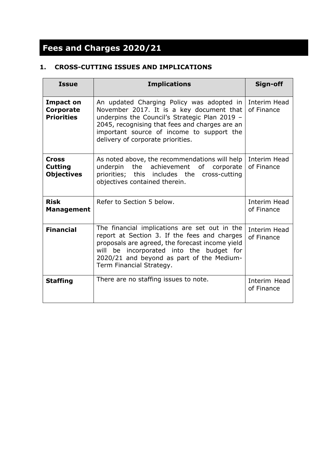# **Fees and Charges 2020/21**

#### **1. CROSS-CUTTING ISSUES AND IMPLICATIONS**

| <b>Issue</b>                                        | <b>Implications</b>                                                                                                                                                                                                                                                        | Sign-off                   |
|-----------------------------------------------------|----------------------------------------------------------------------------------------------------------------------------------------------------------------------------------------------------------------------------------------------------------------------------|----------------------------|
| Impact on<br><b>Corporate</b><br><b>Priorities</b>  | An updated Charging Policy was adopted in<br>November 2017. It is a key document that<br>underpins the Council's Strategic Plan 2019 -<br>2045, recognising that fees and charges are an<br>important source of income to support the<br>delivery of corporate priorities. | Interim Head<br>of Finance |
| <b>Cross</b><br><b>Cutting</b><br><b>Objectives</b> | As noted above, the recommendations will help<br>the achievement of<br>underpin<br>corporate<br>priorities; this includes the<br>cross-cutting<br>objectives contained therein.                                                                                            | Interim Head<br>of Finance |
| <b>Risk</b><br><b>Management</b>                    | Refer to Section 5 below.                                                                                                                                                                                                                                                  | Interim Head<br>of Finance |
| <b>Financial</b>                                    | The financial implications are set out in the<br>report at Section 3. If the fees and charges<br>proposals are agreed, the forecast income yield<br>will be incorporated into the budget for<br>2020/21 and beyond as part of the Medium-<br>Term Financial Strategy.      | Interim Head<br>of Finance |
| <b>Staffing</b>                                     | There are no staffing issues to note.                                                                                                                                                                                                                                      | Interim Head<br>of Finance |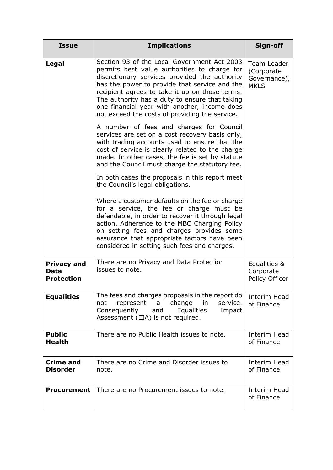| <b>Issue</b>                                    | <b>Implications</b>                                                                                                                                                                                                                                                                                                                                                                                                                                                                                                                                                                                                                                                                                                                                                                                                                                                                                                                                                                                                                                                                                | Sign-off                                                 |
|-------------------------------------------------|----------------------------------------------------------------------------------------------------------------------------------------------------------------------------------------------------------------------------------------------------------------------------------------------------------------------------------------------------------------------------------------------------------------------------------------------------------------------------------------------------------------------------------------------------------------------------------------------------------------------------------------------------------------------------------------------------------------------------------------------------------------------------------------------------------------------------------------------------------------------------------------------------------------------------------------------------------------------------------------------------------------------------------------------------------------------------------------------------|----------------------------------------------------------|
| Legal                                           | Section 93 of the Local Government Act 2003<br>permits best value authorities to charge for<br>discretionary services provided the authority<br>has the power to provide that service and the<br>recipient agrees to take it up on those terms.<br>The authority has a duty to ensure that taking<br>one financial year with another, income does<br>not exceed the costs of providing the service.<br>A number of fees and charges for Council<br>services are set on a cost recovery basis only,<br>with trading accounts used to ensure that the<br>cost of service is clearly related to the charge<br>made. In other cases, the fee is set by statute<br>and the Council must charge the statutory fee.<br>In both cases the proposals in this report meet<br>the Council's legal obligations.<br>Where a customer defaults on the fee or charge<br>for a service, the fee or charge must be<br>defendable, in order to recover it through legal<br>action. Adherence to the MBC Charging Policy<br>on setting fees and charges provides some<br>assurance that appropriate factors have been | Team Leader<br>(Corporate<br>Governance),<br><b>MKLS</b> |
| <b>Privacy and</b><br>Data<br><b>Protection</b> | considered in setting such fees and charges.<br>There are no Privacy and Data Protection<br>issues to note.                                                                                                                                                                                                                                                                                                                                                                                                                                                                                                                                                                                                                                                                                                                                                                                                                                                                                                                                                                                        | Equalities &<br>Corporate<br>Policy Officer              |
| <b>Equalities</b>                               | The fees and charges proposals in the report do<br>change<br>represent<br>in<br>service.<br>not<br>a<br>Equalities<br>Consequently<br>Impact<br>and<br>Assessment (EIA) is not required.                                                                                                                                                                                                                                                                                                                                                                                                                                                                                                                                                                                                                                                                                                                                                                                                                                                                                                           | Interim Head<br>of Finance                               |
| <b>Public</b><br><b>Health</b>                  | There are no Public Health issues to note.                                                                                                                                                                                                                                                                                                                                                                                                                                                                                                                                                                                                                                                                                                                                                                                                                                                                                                                                                                                                                                                         | <b>Interim Head</b><br>of Finance                        |
| <b>Crime and</b><br><b>Disorder</b>             | There are no Crime and Disorder issues to<br>note.                                                                                                                                                                                                                                                                                                                                                                                                                                                                                                                                                                                                                                                                                                                                                                                                                                                                                                                                                                                                                                                 | Interim Head<br>of Finance                               |
| <b>Procurement</b>                              | There are no Procurement issues to note.                                                                                                                                                                                                                                                                                                                                                                                                                                                                                                                                                                                                                                                                                                                                                                                                                                                                                                                                                                                                                                                           | Interim Head<br>of Finance                               |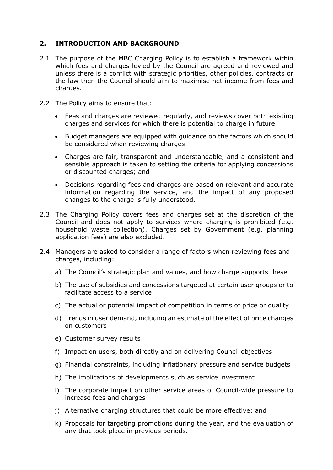#### **2. INTRODUCTION AND BACKGROUND**

- 2.1 The purpose of the MBC Charging Policy is to establish a framework within which fees and charges levied by the Council are agreed and reviewed and unless there is a conflict with strategic priorities, other policies, contracts or the law then the Council should aim to maximise net income from fees and charges.
- 2.2 The Policy aims to ensure that:
	- Fees and charges are reviewed regularly, and reviews cover both existing charges and services for which there is potential to charge in future
	- Budget managers are equipped with guidance on the factors which should be considered when reviewing charges
	- Charges are fair, transparent and understandable, and a consistent and sensible approach is taken to setting the criteria for applying concessions or discounted charges; and
	- Decisions regarding fees and charges are based on relevant and accurate information regarding the service, and the impact of any proposed changes to the charge is fully understood.
- 2.3 The Charging Policy covers fees and charges set at the discretion of the Council and does not apply to services where charging is prohibited (e.g. household waste collection). Charges set by Government (e.g. planning application fees) are also excluded.
- 2.4 Managers are asked to consider a range of factors when reviewing fees and charges, including:
	- a) The Council's strategic plan and values, and how charge supports these
	- b) The use of subsidies and concessions targeted at certain user groups or to facilitate access to a service
	- c) The actual or potential impact of competition in terms of price or quality
	- d) Trends in user demand, including an estimate of the effect of price changes on customers
	- e) Customer survey results
	- f) Impact on users, both directly and on delivering Council objectives
	- g) Financial constraints, including inflationary pressure and service budgets
	- h) The implications of developments such as service investment
	- i) The corporate impact on other service areas of Council-wide pressure to increase fees and charges
	- j) Alternative charging structures that could be more effective; and
	- k) Proposals for targeting promotions during the year, and the evaluation of any that took place in previous periods.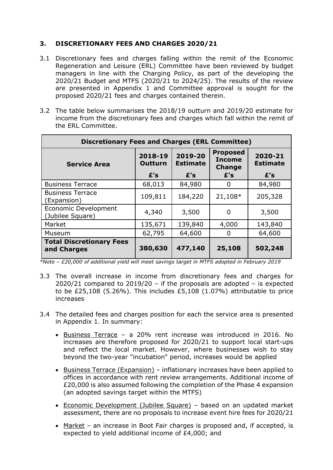#### **3. DISCRETIONARY FEES AND CHARGES 2020/21**

- 3.1 Discretionary fees and charges falling within the remit of the Economic Regeneration and Leisure (ERL) Committee have been reviewed by budget managers in line with the Charging Policy, as part of the developing the 2020/21 Budget and MTFS (2020/21 to 2024/25). The results of the review are presented in Appendix 1 and Committee approval is sought for the proposed 2020/21 fees and charges contained therein.
- 3.2 The table below summarises the 2018/19 outturn and 2019/20 estimate for income from the discretionary fees and charges which fall within the remit of the ERL Committee.

| <b>Discretionary Fees and Charges (ERL Committee)</b> |                           |                            |                                                   |                            |  |  |  |
|-------------------------------------------------------|---------------------------|----------------------------|---------------------------------------------------|----------------------------|--|--|--|
| <b>Service Area</b>                                   | 2018-19<br><b>Outturn</b> | 2019-20<br><b>Estimate</b> | <b>Proposed</b><br><b>Income</b><br><b>Change</b> | 2020-21<br><b>Estimate</b> |  |  |  |
|                                                       | E's                       | E's                        | E's                                               | E's                        |  |  |  |
| <b>Business Terrace</b>                               | 68,013                    | 84,980                     | 0                                                 | 84,980                     |  |  |  |
| <b>Business Terrace</b><br>(Expansion)                | 109,811                   | 184,220                    | 21,108*                                           | 205,328                    |  |  |  |
| Economic Development<br>(Jubilee Square)              | 4,340                     | 3,500                      | 0                                                 | 3,500                      |  |  |  |
| Market                                                | 135,671                   | 139,840                    | 4,000                                             | 143,840                    |  |  |  |
| Museum                                                | 62,795                    | 64,600                     | 0                                                 | 64,600                     |  |  |  |
| <b>Total Discretionary Fees</b><br>and Charges        | 380,630                   | 477,140                    | 25,108                                            | 502,248                    |  |  |  |

*\*Note – £20,000 of additional yield will meet savings target in MTFS adopted in February 2019*

- 3.3 The overall increase in income from discretionary fees and charges for 2020/21 compared to 2019/20 – if the proposals are adopted – is expected to be £25,108 (5.26%). This includes £5,108 (1.07%) attributable to price increases
- 3.4 The detailed fees and charges position for each the service area is presented in Appendix 1. In summary:
	- Business Terrace a 20% rent increase was introduced in 2016. No increases are therefore proposed for 2020/21 to support local start-ups and reflect the local market. However, where businesses wish to stay beyond the two-year "incubation" period, increases would be applied
	- Business Terrace (Expansion) inflationary increases have been applied to offices in accordance with rent review arrangements. Additional income of £20,000 is also assumed following the completion of the Phase 4 expansion (an adopted savings target within the MTFS)
	- Economic Development (Jubilee Square) based on an updated market assessment, there are no proposals to increase event hire fees for 2020/21
	- Market an increase in Boot Fair charges is proposed and, if accepted, is expected to yield additional income of £4,000; and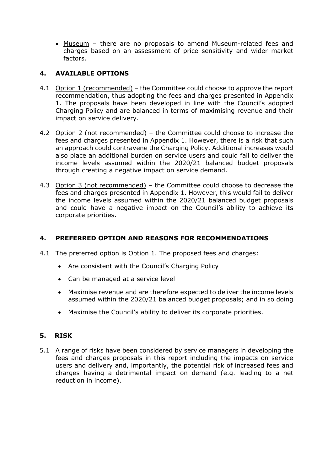Museum – there are no proposals to amend Museum-related fees and charges based on an assessment of price sensitivity and wider market factors.

#### **4. AVAILABLE OPTIONS**

- 4.1 Option 1 (recommended) the Committee could choose to approve the report recommendation, thus adopting the fees and charges presented in Appendix 1. The proposals have been developed in line with the Council's adopted Charging Policy and are balanced in terms of maximising revenue and their impact on service delivery.
- 4.2 Option 2 (not recommended) the Committee could choose to increase the fees and charges presented in Appendix 1. However, there is a risk that such an approach could contravene the Charging Policy. Additional increases would also place an additional burden on service users and could fail to deliver the income levels assumed within the 2020/21 balanced budget proposals through creating a negative impact on service demand.
- 4.3 Option 3 (not recommended) the Committee could choose to decrease the fees and charges presented in Appendix 1. However, this would fail to deliver the income levels assumed within the 2020/21 balanced budget proposals and could have a negative impact on the Council's ability to achieve its corporate priorities.

#### **4. PREFERRED OPTION AND REASONS FOR RECOMMENDATIONS**

- 4.1 The preferred option is Option 1. The proposed fees and charges:
	- Are consistent with the Council's Charging Policy
	- Can be managed at a service level
	- Maximise revenue and are therefore expected to deliver the income levels assumed within the 2020/21 balanced budget proposals; and in so doing
	- Maximise the Council's ability to deliver its corporate priorities.

#### **5. RISK**

5.1 A range of risks have been considered by service managers in developing the fees and charges proposals in this report including the impacts on service users and delivery and, importantly, the potential risk of increased fees and charges having a detrimental impact on demand (e.g. leading to a net reduction in income).